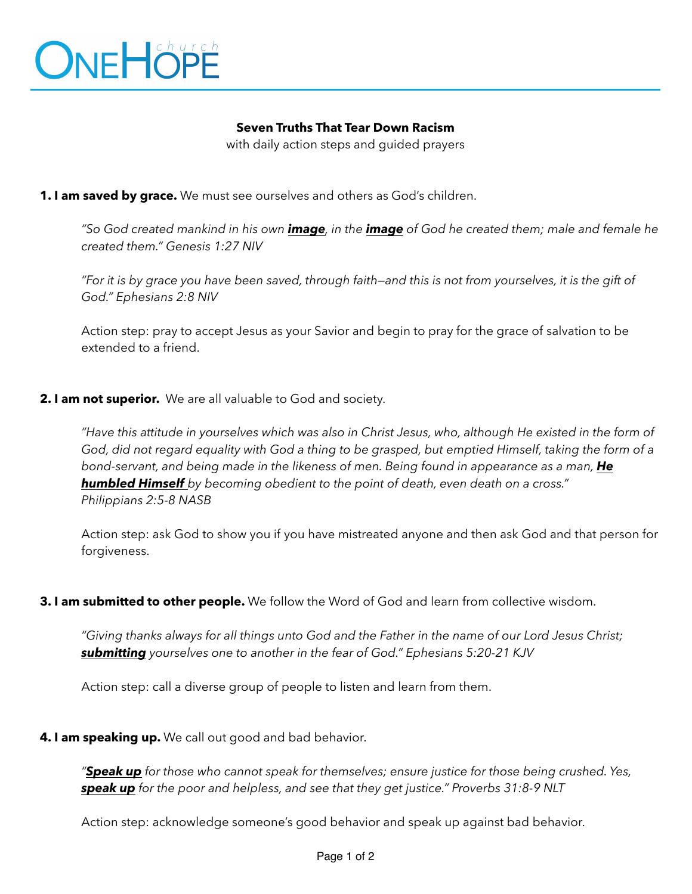

# **Seven Truths That Tear Down Racism**

with daily action steps and guided prayers

### **1. I am saved by grace.** We must see ourselves and others as God's children.

*"So God created mankind in his own image, in the image of God he created them; male and female he created them." Genesis 1:27 NIV* 

*"For it is by grace you have been saved, through faith—and this is not from yourselves, it is the gift of God." Ephesians 2:8 NIV* 

Action step: pray to accept Jesus as your Savior and begin to pray for the grace of salvation to be extended to a friend.

### **2. I am not superior.** We are all valuable to God and society.

*"Have this attitude in yourselves which was also in Christ Jesus, who, although He existed in the form of God, did not regard equality with God a thing to be grasped, but emptied Himself, taking the form of a bond-servant, and being made in the likeness of men. Being found in appearance as a man, He humbled Himself by becoming obedient to the point of death, even death on a cross." Philippians 2:5-8 NASB* 

Action step: ask God to show you if you have mistreated anyone and then ask God and that person for forgiveness.

#### **3. I am submitted to other people.** We follow the Word of God and learn from collective wisdom.

*"Giving thanks always for all things unto God and the Father in the name of our Lord Jesus Christ; submitting yourselves one to another in the fear of God." Ephesians 5:20-21 KJV* 

Action step: call a diverse group of people to listen and learn from them.

 **4. I am speaking up.** We call out good and bad behavior.

*"Speak up for those who cannot speak for themselves; ensure justice for those being crushed. Yes, speak up for the poor and helpless, and see that they get justice." Proverbs 31:8-9 NLT* 

Action step: acknowledge someone's good behavior and speak up against bad behavior.